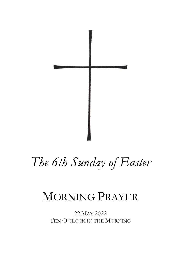

# *The 6th Sunday of Easter*

## MORNING PRAYER

22 MAY 2022 TEN O'CLOCK IN THE MORNING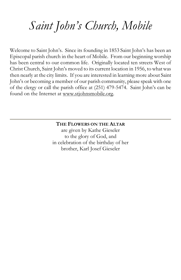# *Saint John's Church, Mobile*

Welcome to Saint John's. Since its founding in 1853 Saint John's has been an Episcopal parish church in the heart of Mobile. From our beginning worship has been central to our common life. Originally located ten streets West of Christ Church, Saint John's moved to its current location in 1956, to what was then nearly at the city limits. If you are interested in learning more about Saint John's or becoming a member of our parish community, please speak with one of the clergy or call the parish office at (251) 479-5474. Saint John's can be found on the Internet at [www.stjohnsmobile.org.](http://www.stjohnsmobile.org/)

> **THE FLOWERS ON THE ALTAR** are given by Kathe Gieseler to the glory of God, and in celebration of the birthday of her brother, Karl Josef Gieseler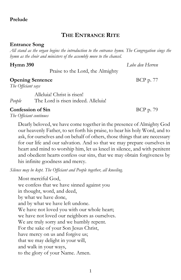1

## **Prelude**

### **THE ENTRANCE RITE**

### **Entrance Song**

*All stand as the organ begins the introduction to the entrance hymn. The Congregation sings the hymn as the choir and ministers of the assembly move to the chancel.*

### **Hymn 390** *Lobe den Herren*

Praise to the Lord, the Almighty

### **Opening Sentence** BCP p. 77

*The Officiant says*

Alleluia! Christ is risen! *People* The Lord is risen indeed. Alleluia!

#### **Confession of Sin** BCP p. 79

*The Officiant continues*

Dearly beloved, we have come together in the presence of Almighty God our heavenly Father, to set forth his praise, to hear his holy Word, and to ask, for ourselves and on behalf of others, those things that are necessary for our life and our salvation. And so that we may prepare ourselves in heart and mind to worship him, let us kneel in silence, and with penitent and obedient hearts confess our sins, that we may obtain forgiveness by his infinite goodness and mercy.

*Silence may be kept. The Officiant and People together, all kneeling.*

Most merciful God, we confess that we have sinned against you in thought, word, and deed, by what we have done, and by what we have left undone. We have not loved you with our whole heart; we have not loved our neighbors as ourselves. We are truly sorry and we humbly repent. For the sake of your Son Jesus Christ, have mercy on us and forgive us; that we may delight in your will, and walk in your ways, to the glory of your Name. Amen.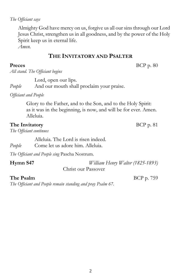#### *The Officiant says*

Almighty God have mercy on us, forgive us all our sins through our Lord Jesus Christ, strengthen us in all goodness, and by the power of the Holy Spirit keep us in eternal life.

*Amen.*

### **THE INVITATORY AND PSALTER**

*All stand. The Officiant begins*

Lord, open our lips.

*People* And our mouth shall proclaim your praise.

*Officiant and People*

Glory to the Father, and to the Son, and to the Holy Spirit: as it was in the beginning, is now, and will be for ever. Amen. Alleluia.

#### **The Invitatory** BCP p. 81

*The Officiant continues*

Alleluia. The Lord is risen indeed. *People* Come let us adore him. Alleluia.

*The Officiant and People sing* Pascha Nostrum.

| Hymn S47 | William Henry Walter (1825-1893) |
|----------|----------------------------------|
|          | Christ our Passover              |

#### **The Psalm** BCP p. 759

*The Officiant and People remain standing and pray Psalm 67.*

**Preces** BCP p. 80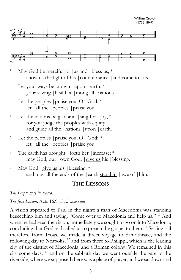**William Crotch**  $(1775 - 1847)$ 



- <sup>1</sup> May God be merciful to |us and | bless us,  $*$ show us the light of his  $|$  counte-nance  $|$  and come to  $|$  us.
- <sup>2</sup> Let your ways be known | upon | earth,  $*$ your saving |health a-|mong all |nations.
- <sup>3</sup> Let the peoples  $|$  praise you, O  $|$  God;  $*$ let |all the |peoples |praise you.
- <sup>4</sup> Let the nations be glad and  $|\sin g|$  for  $|\cos,*\$ for you judge the peoples with equity and guide all the |nations |upon |earth.
- <sup>5</sup> Let the peoples  $|{\text{praise you}}, O \; |{\text{God}}; *$ let |all the |peoples |praise you.
- $6$  The earth has brought | forth her | increase;  $*$ may God, our |own God, |give us his | blessing.
- <sup>7</sup> May God  $|$  give us his  $|$  blessing,  $*$ and may all the ends of the |earth stand in | awe of | him.

#### **THE LESSONS**

*The People may be seated.*

*The first Lesson,* Acts 16:9-15*, is now read*

A vision appeared to Paul in the night: a man of Macedonia was standing beseeching him and saying, "Come over to Macedonia and help us." <sup>10</sup> And when he had seen the vision, immediately we sought to go on into Macedonia, concluding that God had called us to preach the gospel to them.<sup>11</sup> Setting sail therefore from Troas, we made a direct voyage to Samothrace, and the following day to Neapolis, <sup>12</sup> and from there to Philippi, which is the leading city of the district of Macedonia, and a Roman colony. We remained in this city some days; <sup>13</sup> and on the sabbath day we went outside the gate to the riverside, where we supposed there was a place of prayer; and we sat down and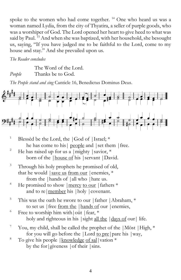spoke to the women who had come together. <sup>14</sup> One who heard us was a woman named Lydia, from the city of Thyatira, a seller of purple goods, who was a worshiper of God. The Lord opened her heart to give heed to what was said by Paul. <sup>15</sup> And when she was baptized, with her household, she besought us, saying, "If you have judged me to be faithful to the Lord, come to my house and stay." And she prevailed upon us.

*The Reader concludes*

The Word of the Lord. *People* Thanks be to God.

*The People stand and sing* Canticle 16, Benedictus Dominus Deus.



- <sup>1</sup> Blessèd be the Lord, the  $|$  God of  $|$ Israel;  $*$ he has come to his people and | set them | free.
- <sup>2</sup> He has raised up for us a  $|might|$  savior, \* born of the |house of his |servant |David.
- <sup>3</sup> Through his holy prophets he promised of old, that he would  $\vert$  save us from our  $\vert$  enemies,  $*$ from the |hands of |all who |hate us.
- <sup>4</sup> He promised to show  $\vert$  mercy to our  $\vert$  fathers  $*$ and to re | member his | holy | covenant.
- <sup>5</sup> This was the oath he swore to our | father | Abraham,  $*$ to set us |free from the |hands of our |enemies,
- $6$  Free to worship him with out | fear,  $*$ holy and righteous in his  $|\sinh|$  all the  $|\frac{d^2y}{dx^2}$  our  $|\frac{dy}{dx}|$  life.
- <sup>7</sup> You, my child, shall be called the prophet of the |Möst | High,  $*$ for you will go before the |Lord to pre|pare his |way,
- <sup>8</sup> To give his people | knowledge of sal|vation  $*$ by the for *giveness*  $|$  of their  $|$  sins.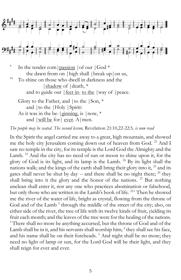

the dawn from on |high shall |break up|on us, <sup>10</sup> To shine on those who dwell in darkness and the |shadow of |death, \* and to guide our  $|\text{feet in- to the }|$  way of  $|\text{peace.}|$ Glory to the Father, and  $\vert$  to the  $\vert$  Son,  $*$ and |to the |Holy |Spirit: As it was in the be- $|$ ginning, is  $|now,*$ 

and |will be for | ever. A | men.

*The people may be seated. The second lesson,* Revelation 21:10,22-22:5*, is now read*

In the Spirit the angel carried me away to a great, high mountain, and showed me the holy city Jerusalem coming down out of heaven from God.<sup>22</sup> And I saw no temple in the city, for its temple is the Lord God the Almighty and the Lamb. <sup>23</sup> And the city has no need of sun or moon to shine upon it, for the glory of God is its light, and its lamp is the Lamb.  $24$  By its light shall the nations walk; and the kings of the earth shall bring their glory into it,  $^{25}$  and its gates shall never be shut by day  $-$  and there shall be no night there;  $^{26}$  they shall bring into it the glory and the honor of the nations.  $27$  But nothing unclean shall enter it, nor any one who practices abomination or falsehood, but only those who are written in the Lamb's book of life. <sup>22:1</sup> Then he showed me the river of the water of life, bright as crystal, flowing from the throne of God and of the Lamb<sup>2</sup> through the middle of the street of the city; also, on either side of the river, the tree of life with its twelve kinds of fruit, yielding its fruit each month; and the leaves of the tree were for the healing of the nations. <sup>3</sup> There shall no more be anything accursed, but the throne of God and of the Lamb shall be in it, and his servants shall worship him; <sup>4</sup> they shall see his face, and his name shall be on their foreheads.<sup>5</sup> And night shall be no more; they need no light of lamp or sun, for the Lord God will be their light, and they shall reign for ever and ever.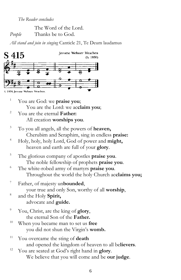*The Reader concludes*

The Word of the Lord. *People* Thanks be to God.

*All stand and join in singing* Canticle 21, Te Deum laudamus



- <sup>1</sup> You are God: we **praise you**; You are the Lord: we ac**claim you**;
- <sup>2</sup> You are the eternal **Father:** All creation **worships you**.
- <sup>3</sup> To you all angels, all the powers of **heaven,** Cherubim and Seraphim, sing in endless **praise:**
- <sup>4</sup> Holy, holy, holy Lord, God of power and **might,** heaven and earth are full of your **glory**.
- <sup>5</sup> The glorious company of apostles **praise you**. The noble fellowship of prophets **praise you**.
- <sup>6</sup> The white-robed army of martyrs **praise you**. Throughout the world the holy Church ac**claims you;**
- <sup>7</sup> Father, of majesty un**bounded**, your true and only Son, worthy of all **worship**,
- 8 and the Holy **Spirit,** advocate and **guide.**
- <sup>9</sup> You, Christ, are the king of **glory**, the eternal Son of the **Father.**
- <sup>10</sup> When you became man to set us **free** you did not shun the Virgin's **womb.**
- <sup>11</sup> You overcame the sting of **death** and opened the kingdom of heaven to all be**lievers**.
- <sup>12</sup> You are seated at God's right hand in **glory**. We believe that you will come and be **our judge**.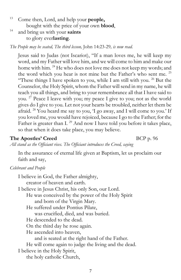- <sup>13</sup> Come then, Lord, and help your **people,** bought with the price of your own **blood**,
- <sup>14</sup> and bring us with your **saints** to glory ever**lasting**.

*The People may be seated, The third lesson,* John 14:23-29*, is now read.*

Jesus said to Judas (not Iscariot), "If a man loves me, he will keep my word, and my Father will love him, and we will come to him and make our home with him. <sup>24</sup> He who does not love me does not keep my words; and the word which you hear is not mine but the Father's who sent me. <sup>25</sup> "These things I have spoken to you, while I am still with you.  $26$  But the Counselor, the Holy Spirit, whom the Father will send in my name, he will teach you all things, and bring to your remembrance all that I have said to you.  $2^7$  Peace I leave with you; my peace I give to you; not as the world gives do I give to you. Let not your hearts be troubled, neither let them be afraid. <sup>28</sup> You heard me say to you, 'I go away, and I will come to you.' If you loved me, you would have rejoiced, because I go to the Father; for the Father is greater than I.  $^{29}$  And now I have told you before it takes place, so that when it does take place, you may believe.

#### **The Apostles' Creed** BCP p. 96

*All stand as the Officiant rises. The Officiant introduces the Creed, saying*

In the assurance of eternal life given at Baptism, let us proclaim our faith and say,

#### *Celebrant and People*

I believe in God, the Father almighty, creator of heaven and earth. I believe in Jesus Christ, his only Son, our Lord. He was conceived by the power of the Holy Spirit and born of the Virgin Mary. He suffered under Pontius Pilate, was crucified, died, and was buried. He descended to the dead. On the third day he rose again. He ascended into heaven, and is seated at the right hand of the Father. He will come again to judge the living and the dead. I believe in the Holy Spirit, the holy catholic Church,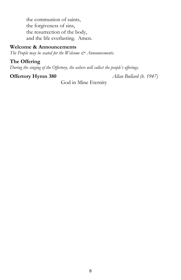the communion of saints, the forgiveness of sins, the resurrection of the body, and the life everlasting. Amen.

#### **Welcome & Announcements**

*The People may be seated for the Welcome*  $\mathcal{O}$  *Announcements.* 

#### **The Offering**

*During the singing of the Offertory, the ushers will collect the people's offerings.*

**Offertory Hymn 380** *Allan Bullard (b. 1947)*

God in Mine Eternity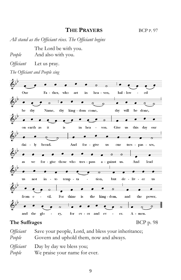### **THE PRAYERS** BCP <sup>P</sup>. 97

*All stand as the Officiant rises. The Officiant begins*

The Lord be with you.

*People* And also with you.

*Officiant* Let us pray.

*The Officiant and People sing*



#### **The Suffrages** BCP p. 98

| People | Officiant Save your people, Lord, and bless your inheritance;<br>Govern and uphold them, now and always. |
|--------|----------------------------------------------------------------------------------------------------------|
| People | <i>Officiant</i> Day by day we bless you;<br>We praise your name for ever.                               |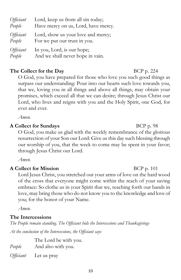| 10 |  |  |
|----|--|--|

| Officiant | Lord, show us your love and mercy; |
|-----------|------------------------------------|
| People    | For we put our trust in you.       |
| Officiant | In you, Lord, is our hope;         |
| People    | And we shall never hope in vain.   |

*Officiant* Lord, keep us from all sin today; *People* Have mercy on us, Lord, have mercy.

#### **The Collect for the Day** BCP p. 224

O God, you have prepared for those who love you such good things as surpass our understanding: Pour into our hearts such love towards you, that we, loving you in all things and above all things, may obtain your promises, which exceed all that we can desire; through Jesus Christ our Lord, who lives and reigns with you and the Holy Spirit, one God, for ever and ever.

*Amen.*

#### **A Collect for Sundays** BCP p. 98

O God, you make us glad with the weekly remembrance of the glorious resurrection of your Son our Lord: Give us this day such blessing through our worship of you, that the week to come may be spent in your favor; through Jesus Christ our Lord.

*Amen.*

#### **A Collect for Mission** BCP p. 101

Lord Jesus Christ, you stretched out your arms of love on the hard wood of the cross that everyone might come within the reach of your saving embrace: So clothe us in your Spirit that we, reaching forth our hands in love, may bring those who do not know you to the knowledge and love of you; for the honor of your Name.

*Amen.*

#### **The Intercessions**

*The People remain standing. The Officiant bids the Intercessions and Thanksgivings At the conclusion of the Intercessions, the Officiant says*

|        | The Lord be with you.        |
|--------|------------------------------|
| People | And also with you.           |
|        | <i>Officiant</i> Let us pray |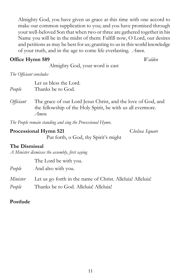Almighty God, you have given us grace at this time with one accord to make our common supplication to you; and you have promised through your well-beloved Son that when two or three are gathered together in his Name you will be in the midst of them: Fulfill now, O Lord, our desires and petitions as may be best for us; granting to us in this world knowledge of your truth, and in the age to come life everlasting. *Amen.*

#### **Office Hymn 589** *Walden*

Almighty God, your word is cast

*The Officiant concludes*

|        | Let us bless the Lord. |
|--------|------------------------|
| People | Thanks be to God.      |

*Officiant* The grace of our Lord Jesus Christ, and the love of God, and the fellowship of the Holy Spirit, be with us all evermore. *Amen.*

*The People remain standing and sing the Processional Hymn.*

#### **Processional Hymn 521** C*helsea Square*

Put forth, o God, thy Spirit's might

#### **The Dismissal**

*A Minister dismisses the assembly, first saying*

The Lord be with you.

*People* And also with you.

*Minister* Let us go forth in the name of Christ. Alleluia! Alleluia! *People* Thanks be to God. Alleluia! Alleluia!

### **Postlude**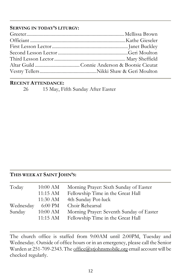#### **SERVING IN TODAY'S LITURGY:**

#### **RECENT ATTENDANCE:**

26 15 May, Fifth Sunday After Easter

### **THIS WEEK AT SAINT JOHN'S:**

| Today     | 10:00 AM           | Morning Prayer: Sixth Sunday of Easter   |
|-----------|--------------------|------------------------------------------|
|           | $11:15$ AM         | Fellowship Time in the Great Hall        |
|           | 11:30 AM           | 4th Sunday Pot-luck                      |
| Wednesday | 6:00 PM            | Choir Rehearsal                          |
| Sunday    | $10:00$ AM         | Morning Prayer: Seventh Sunday of Easter |
|           | $11:15 \text{ AM}$ | Fellowship Time in the Great Hall        |

The church office is staffed from 9:00AM until 2:00PM, Tuesday and Wednesday. Outside of office hours or in an emergency, please call the Senior Warden at 251-709-2343. Th[e office@stjohnsmobile.org](mailto:office@stjohnsmobile.org) email account will be checked regularly.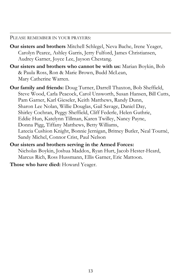PLEASE REMEMBER IN YOUR PRAYERS:

- **Our sisters and brothers** Mitchell Schlegel, Neva Bache, Irene Yeager, Carolyn Pearce, Ashley Garris, Jerry Fulford, James Christiansen, Audrey Garner, Joyce Lee, Jayson Chestang.
- **Our sisters and brothers who cannot be with us:** Marian Boykin, Bob & Paula Ross, Ron & Marie Brown, Budd McLean, Mary Catherine Warren.
- **Our family and friends:** Doug Turner, Darrell Thaxton, Bob Sheffield, Steve Wood, Carla Peacock, Carol Unsworth, Susan Hansen, Bill Cutts, Pam Garner, Karl Gieseler, Keith Matthews, Randy Dunn, Sharon Lee Nolan, Willie Douglas, Gail Savage, Daniel Day, Shirley Cochran, Peggy Sheffield, Cliff Federle, Helen Guthrie, Eddie Hun, Katelynn Tillman, Karen Twilley, Nancy Payne, Donna Pigg, Tiffany Matthews, Betty Williams, Latecia Cushion Knight, Bonnie Jernigan, Britney Butler, Neal Tourné, Sandy Michel, Connor Crist, Paul Nelson
- **Our sisters and brothers serving in the Armed Forces:**  Nicholas Boykin, Joshua Maddox, Ryan Hurt, Jacob Hester-Heard, Marcus Rich, Ross Hussmann, Ellis Garner, Eric Mattoon.

**Those who have died:** Howard Yeager.